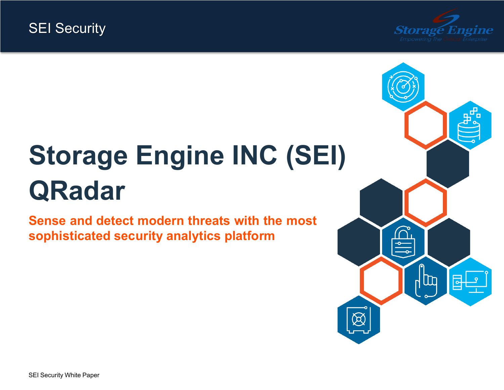

# <span id="page-0-0"></span>**Storage Engine INC (SEI) QRadar**

**Sense and detect [modern](#page-1-0) threats with the most [sophisticated](#page-1-0) security analytics platform**

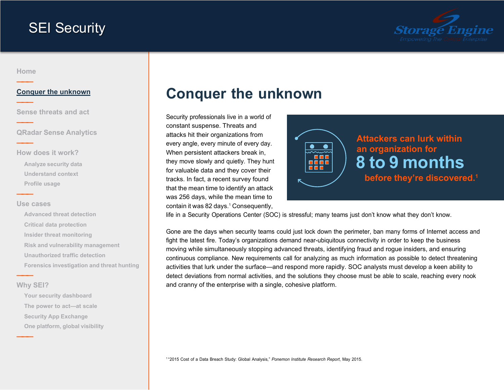

<span id="page-1-0"></span>**[Home](#page-0-0) ———**

**———**

**———**

**———**

**———**

### **Conquer the unknown**

**Sense [threats](#page-2-0) and act**

**QRadar Sense [Analytics](#page-3-0)**

**How does it [work?](#page-4-0) Analyze [security](#page-5-0) data [Understand](#page-6-0) context [Profile](#page-7-0) usage**

#### **Use [cases](#page-8-0)**

**[Advanced threat detection](#page-9-0) Critical data [protection](#page-10-0) Insider threat [monitoring](#page-11-0) Risk and vulnerability [management](#page-12-0) [Unauthorized](#page-13-0) traffic detection Forensics [investigation](#page-14-0) and threat hunting**

### **Why [SEI?](#page-15-0)**

**———**

**———**

**[Your security dashboard](#page-16-0) The power to [act—at](#page-17-0) scale Security App [Exchange](#page-18-0) One [platform,](#page-19-0) global visibility**

# **Conquer the unknown**

Security professionals live in a world of constant suspense. Threats and attacks hit their organizations from every angle, every minute of every day. When persistent attackers break in, they move slowly and quietly. They hunt for valuable data and they cover their tracks. In fact, a recent survey found that the mean time to identify an attack was 256 days, while the mean time to contain it was 82 days.<sup>1</sup> Consequently,



life in a Security Operations Center (SOC) is stressful; many teams just don't know what they don't know.

Gone are the days when security teams could just lock down the perimeter, ban many forms of Internet access and fight the latest fire. Today's organizations demand near-ubiquitous connectivity in order to keep the business moving while simultaneously stopping advanced threats, identifying fraud and rogue insiders, and ensuring continuous compliance. New requirements call for analyzing as much information as possible to detect threatening activities that lurk under the surface—and respond more rapidly. SOC analysts must develop a keen ability to detect deviations from normal activities, and the solutions they choose must be able to scale, reaching every nook and cranny of the enterprise with a single, cohesive platform.

<sup>1</sup> "2015 Cost of a Data Breach Study: Global Analysis," *Ponemon Institute Research Report*, May 2015.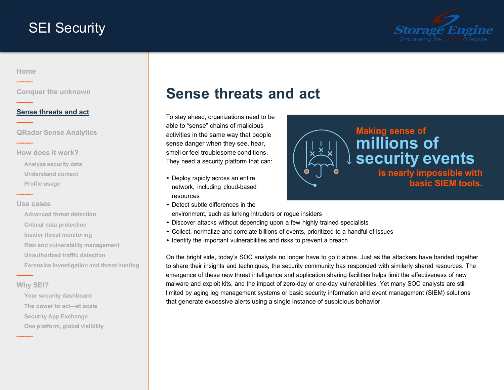

<span id="page-2-0"></span>**[Home](#page-0-0) ———**

**———**

**———**

**———**

**———**

**[Conquer the unknown](#page-1-0)**

### **Sense threats and act**

**QRadar Sense [Analytics](#page-3-0)**

**How does it [work?](#page-4-0) Analyze [security](#page-5-0) data [Understand](#page-6-0) context [Profile](#page-7-0) usage**

#### **Use [cases](#page-8-0)**

**[Advanced threat detection](#page-9-0) Critical data [protection](#page-10-0) Insider threat [monitoring](#page-11-0) Risk and vulnerability [management](#page-12-0) [Unauthorized](#page-13-0) traffic detection Forensics [investigation](#page-14-0) and threat hunting**

#### **Why [SEI?](#page-15-0)**

**———**

**———**

**[Your security dashboard](#page-16-0) The power to [act—at](#page-17-0) scale Security App [Exchange](#page-18-0) One [platform,](#page-19-0) global visibility**

# **Sense threats and act**

To stay ahead, organizations need to be able to "sense" chains of malicious activities in the same way that people sense danger when they see, hear, smell or feel troublesome conditions. They need a security platform that can:

- Deploy rapidly across an entire network, including cloud-based resources
- Detect subtle differences in the



environment, such as lurking intruders or rogue insiders

- Discover attacks without depending upon <sup>a</sup> few highly trained specialists
- Collect, normalize and correlate billions of events, prioritized to <sup>a</sup> handful of issues
- Identify the important vulnerabilities and risks to prevent <sup>a</sup> breach

On the bright side, today's SOC analysts no longer have to go it alone. Just as the attackers have banded together to share their insights and techniques, the security community has responded with similarly shared resources. The emergence of these new threat intelligence and application sharing facilities helps limit the effectiveness of new malware and exploit kits, and the impact of zero-day or one-day vulnerabilities. Yet many SOC analysts are still limited by aging log management systems or basic security information and event management (SIEM) solutions that generate excessive alerts using a single instance of suspicious behavior.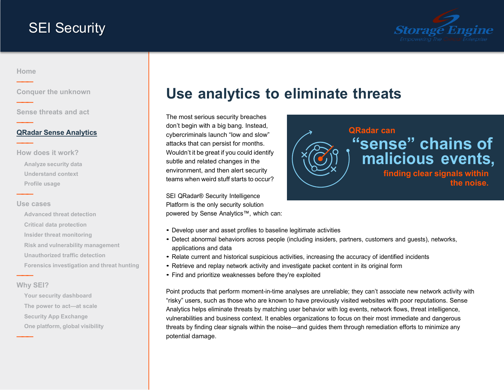

### <span id="page-3-0"></span>**[Home](#page-0-0) ———**

**———**

**———**

**———**

**———**

**[Conquer the unknown](#page-1-0)**

**Sense [threats](#page-2-0) and act**

#### **QRadar Sense Analytics**

**How does it [work?](#page-4-0) Analyze [security](#page-5-0) data [Understand](#page-6-0) context [Profile](#page-7-0) usage**

#### **Use [cases](#page-8-0)**

**[Advanced threat detection](#page-9-0) Critical data [protection](#page-10-0) Insider threat [monitoring](#page-11-0) Risk and vulnerability [management](#page-12-0) [Unauthorized](#page-13-0) traffic detection Forensics [investigation](#page-14-0) and threat hunting**

### **Why [SEI?](#page-15-0)**

**———**

**———**

**[Your security dashboard](#page-16-0) The power to [act—at](#page-17-0) scale Security App [Exchange](#page-18-0) One [platform,](#page-19-0) global visibility**

# **Use analytics to eliminate threats**

The most serious security breaches don't begin with a big bang. Instead, cybercriminals launch "low and slow" attacks that can persist for months. Wouldn't it be great if you could identify subtle and related changes in the environment, and then alert security teams when weird stuff starts to occur?

SEI QRadar® Security Intelligence Platform is the only security solution powered by Sense Analytics™, which can:



- Develop user and asset profiles to baseline legitimate activities
- Detect abnormal behaviors across people (including insiders, partners, customers and guests), networks, applications and data
- Relate current and historical suspicious activities, increasing the accuracy of identified incidents
- Retrieve and replay network activity and investigate packet content in its original form
- Find and prioritize weaknesses before they're exploited

Point products that perform moment-in-time analyses are unreliable; they can't associate new network activity with "risky" users, such as those who are known to have previously visited websites with poor reputations. Sense Analytics helps eliminate threats by matching user behavior with log events, network flows, threat intelligence, vulnerabilities and business context. It enables organizations to focus on their most immediate and dangerous threats by finding clear signals within the noise—and guides them through remediation efforts to minimize any potential damage.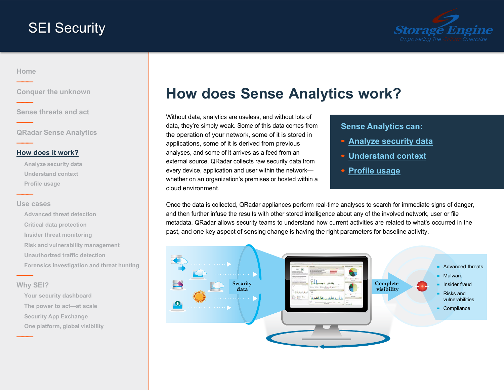

### <span id="page-4-0"></span>**[Home](#page-0-0) ———**

**———**

**———**

**———**

**———**

**[Conquer the unknown](#page-1-0)**

**Sense [threats](#page-2-0) and act**

**QRadar Sense [Analytics](#page-3-0)**

### **How does it work?**

**Analyze [security](#page-5-0) data [Understand](#page-6-0) context [Profile](#page-7-0) usage**

#### **Use [cases](#page-8-0)**

**[Advanced threat detection](#page-9-0) Critical data [protection](#page-10-0) Insider threat [monitoring](#page-11-0) Risk and vulnerability [management](#page-12-0) [Unauthorized](#page-13-0) traffic detection Forensics [investigation](#page-14-0) and threat hunting**

### **Why [SEI?](#page-15-0)**

**———**

**———**

**[Your security dashboard](#page-16-0) The power to [act—at](#page-17-0) scale Security App [Exchange](#page-18-0) One [platform,](#page-19-0) global visibility**

# **How does Sense Analytics work?**

Without data, analytics are useless, and without lots of data, they're simply weak. Some of this data comes from the operation of your network, some of it is stored in applications, some of it is derived from previous analyses, and some of it arrives as a feed from an external source. QRadar collects raw security data from every device, application and user within the network whether on an organization's premises or hosted within a cloud environment.

### **Sense Analytics can:**

- **• Analyze [security](#page-5-0) data**
- **• [Understand](#page-6-0) context**
- **• [Profile](#page-7-0) usage**

Once the data is collected, QRadar appliances perform real-time analyses to search for immediate signs of danger, and then further infuse the results with other stored intelligence about any of the involved network, user or file metadata. QRadar allows security teams to understand how current activities are related to what's occurred in the past, and one key aspect of sensing change is having the right parameters for baseline activity.

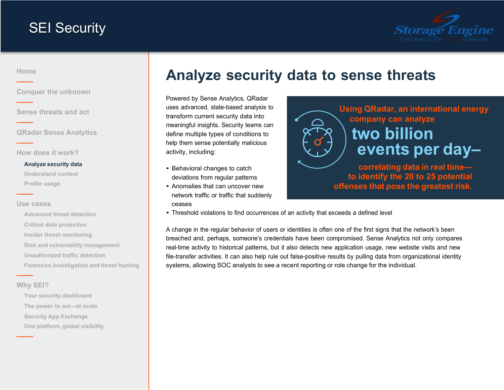

<span id="page-5-0"></span>**[Home](#page-0-0) ———**

**———**

**———**

**———**

**———**

**[Conquer the unknown](#page-1-0)**

**Sense [threats](#page-2-0) and act**

**QRadar Sense [Analytics](#page-3-0)**

**How does it [work?](#page-4-0)**

#### **Analyze security data**

**[Understand](#page-6-0) context [Profile](#page-7-0) usage**

#### **Use [cases](#page-8-0)**

**[Advanced threat detection](#page-9-0) Critical data [protection](#page-10-0) Insider threat [monitoring](#page-11-0) Risk and vulnerability [management](#page-12-0) [Unauthorized](#page-13-0) traffic detection Forensics [investigation](#page-14-0) and threat hunting**

**Why [SEI?](#page-15-0)**

**———**

**———**

**[Your security dashboard](#page-16-0) The power to [act—at](#page-17-0) scale Security App [Exchange](#page-18-0) One [platform,](#page-19-0) global visibility**

# **Analyze security data to sense threats**

Powered by Sense Analytics, QRadar uses advanced, state-based analysis to transform current security data into meaningful insights. Security teams can define multiple types of conditions to help them sense potentially malicious activity, including:

- Behavioral changes to catch deviations from regular patterns
- Anomalies that can uncover new network traffic or traffic that suddenly ceases



**offenses that pose the greatest risk.**

• Threshold violations to find occurrences of an activity that exceeds <sup>a</sup> defined level

A change in the regular behavior of users or identities is often one of the first signs that the network's been breached and, perhaps, someone's credentials have been compromised. Sense Analytics not only compares real-time activity to historical patterns, but it also detects new application usage, new website visits and new file-transfer activities. It can also help rule out false-positive results by pulling data from organizational identity systems, allowing SOC analysts to see a recent reporting or role change for the individual.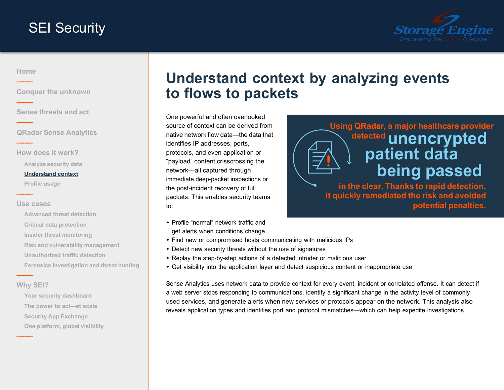

### <span id="page-6-0"></span>**[Home](#page-0-0) ———**

**———**

**———**

**———**

**———**

**[Conquer the unknown](#page-1-0)**

**Sense [threats](#page-2-0) and act**

**QRadar Sense [Analytics](#page-3-0)**

**How does it [work?](#page-4-0)**

**Analyze [security](#page-5-0) data**

#### **Understand context**

**[Profile](#page-7-0) usage**

#### **Use [cases](#page-8-0)**

**[Advanced threat detection](#page-9-0) Critical data [protection](#page-10-0) Insider threat [monitoring](#page-11-0) Risk and vulnerability [management](#page-12-0) [Unauthorized](#page-13-0) traffic detection Forensics [investigation](#page-14-0) and threat hunting**

#### **Why [SEI?](#page-15-0)**

**———**

**———**

**[Your security dashboard](#page-16-0) The power to [act—at](#page-17-0) scale Security App [Exchange](#page-18-0) One [platform,](#page-19-0) global visibility**

# **Understand context by analyzing events to flows to packets**

One powerful and often overlooked source of context can be derived from native network flow data—the data that identifies IP addresses, ports, protocols, and even application or "payload" content crisscrossing the network—all captured through immediate deep-packet inspections or the post-incident recovery of full packets. This enables security teams to:

- Profile "normal" network traffic and get alerts when conditions change
- Find new or compromised hosts communicating with malicious IPs
- Detect new security threats without the use of signatures
- Replay the step-by-step actions of <sup>a</sup> detected intruder or malicious user
- Get visibility into the application layer and detect suspicious content or inappropriate use

Sense Analytics uses network data to provide context for every event, incident or correlated offense. It can detect if a web server stops responding to communications, identify a significant change in the activity level of commonly used services, and generate alerts when new services or protocols appear on the network. This analysis also reveals application types and identifies port and protocol mismatches—which can help expedite investigations.



**in the clear. Thanks to rapid detection, it quickly remediated the risk and avoided potential penalties.**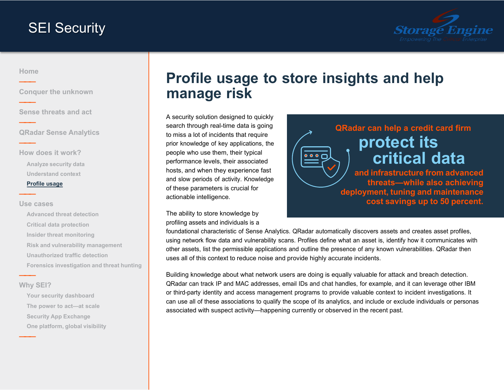

### <span id="page-7-0"></span>**[Home](#page-0-0) ———**

**———**

**———**

**———**

**———**

**[Conquer the unknown](#page-1-0)**

**Sense [threats](#page-2-0) and act**

**QRadar Sense [Analytics](#page-3-0)**

**How does it [work?](#page-4-0) Analyze [security](#page-5-0) data [Understand](#page-6-0) context Profile usage**

#### **Use [cases](#page-8-0)**

**[Advanced threat detection](#page-9-0) Critical data [protection](#page-10-0) Insider threat [monitoring](#page-11-0) Risk and vulnerability [management](#page-12-0) [Unauthorized](#page-13-0) traffic detection Forensics [investigation](#page-14-0) and threat hunting**

### **Why [SEI?](#page-15-0)**

**———**

**———**

**[Your security dashboard](#page-16-0) The power to [act—at](#page-17-0) scale Security App [Exchange](#page-18-0) One [platform,](#page-19-0) global visibility**

# **Profile usage to store insights and help manage risk**

A security solution designed to quickly search through real-time data is going to miss a lot of incidents that require prior knowledge of key applications, the people who use them, their typical performance levels, their associated hosts, and when they experience fast and slow periods of activity. Knowledge of these parameters is crucial for actionable intelligence.

The ability to store knowledge by profiling assets and individuals is a



foundational characteristic of Sense Analytics. QRadar automatically discovers assets and creates asset profiles, using network flow data and vulnerability scans. Profiles define what an asset is, identify how it communicates with other assets, list the permissible applications and outline the presence of any known vulnerabilities. QRadar then uses all of this context to reduce noise and provide highly accurate incidents.

Building knowledge about what network users are doing is equally valuable for attack and breach detection. QRadar can track IP and MAC addresses, email IDs and chat handles, for example, and it can leverage other IBM or third-party identity and access management programs to provide valuable context to incident investigations. It can use all of these associations to qualify the scope of its analytics, and include or exclude individuals or personas associated with suspect activity—happening currently or observed in the recent past.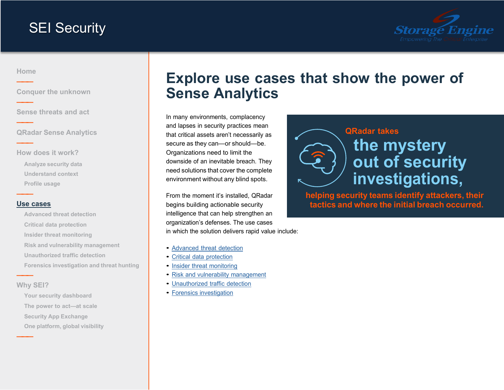

<span id="page-8-0"></span>**[Home](#page-0-0) ———**

**———**

**———**

**———**

**———**

**[Conquer the unknown](#page-1-0)**

**Sense [threats](#page-2-0) and act**

**QRadar Sense [Analytics](#page-3-0)**

**How does it [work?](#page-4-0) Analyze [security](#page-5-0) data [Understand](#page-6-0) context [Profile](#page-7-0) usage**

#### **Use cases**

**[Advanced threat detection](#page-9-0) Critical data [protection](#page-10-0) Insider threat [monitoring](#page-11-0) Risk and vulnerability [management](#page-12-0) [Unauthorized](#page-13-0) traffic detection Forensics [investigation](#page-14-0) and threat hunting**

### **Why [SEI?](#page-15-0)**

**———**

**———**

**[Your security dashboard](#page-16-0) The power to [act—at](#page-17-0) scale Security App [Exchange](#page-18-0) One [platform,](#page-19-0) global visibility**

# **Explore use cases that show the power of Sense Analytics**

In many environments, complacency and lapses in security practices mean that critical assets aren't necessarily as secure as they can—or should—be. Organizations need to limit the downside of an inevitable breach. They need solutions that cover the complete environment without any blind spots.

From the moment it's installed, QRadar begins building actionable security intelligence that can help strengthen an organization's defenses. The use cases in which the solution delivers rapid value include:

- [Advanced](#page-9-0) threat detection
- Critical data [protection](#page-10-0)
- Insider threat [monitoring](#page-11-0)
- Risk and vulnerability [management](#page-12-0)
- [Unauthorized](#page-13-0) traffic detection
- Forensics [investigation](#page-14-0)



**helping security teams identify attackers, their tactics and where the initial breach occurred.**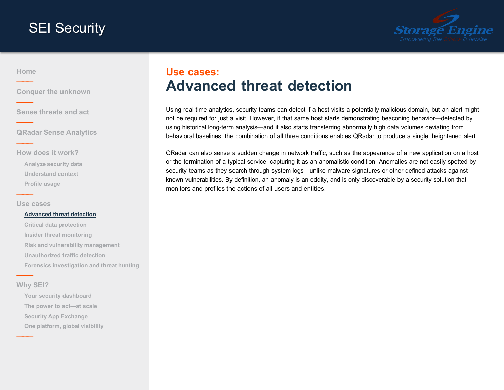

<span id="page-9-0"></span>**[Home](#page-0-0) ———**

**———**

**———**

**———**

**———**

**[Conquer the unknown](#page-1-0)**

**Sense [threats](#page-2-0) and act**

**QRadar Sense [Analytics](#page-3-0)**

**How does it [work?](#page-4-0) Analyze [security](#page-5-0) data [Understand](#page-6-0) context [Profile](#page-7-0) usage**

**Use [cases](#page-8-0)**

#### **Advanced threat detection**

**Critical data [protection](#page-10-0) Insider threat [monitoring](#page-11-0) Risk and vulnerability [management](#page-12-0) [Unauthorized](#page-13-0) traffic detection Forensics [investigation](#page-14-0) and threat hunting**

### **Why [SEI?](#page-15-0)**

**———**

**———**

**[Your security dashboard](#page-16-0) The power to [act—at](#page-17-0) scale Security App [Exchange](#page-18-0) One [platform,](#page-19-0) global visibility**

### **Use cases: Advanced threat detection**

Using real-time analytics, security teams can detect if a host visits a potentially malicious domain, but an alert might not be required for just a visit. However, if that same host starts demonstrating beaconing behavior—detected by using historical long-term analysis—and it also starts transferring abnormally high data volumes deviating from behavioral baselines, the combination of all three conditions enables QRadar to produce a single, heightened alert.

QRadar can also sense a sudden change in network traffic, such as the appearance of a new application on a host or the termination of a typical service, capturing it as an anomalistic condition. Anomalies are not easily spotted by security teams as they search through system logs—unlike malware signatures or other defined attacks against known vulnerabilities. By definition, an anomaly is an oddity, and is only discoverable by a security solution that monitors and profiles the actions of all users and entities.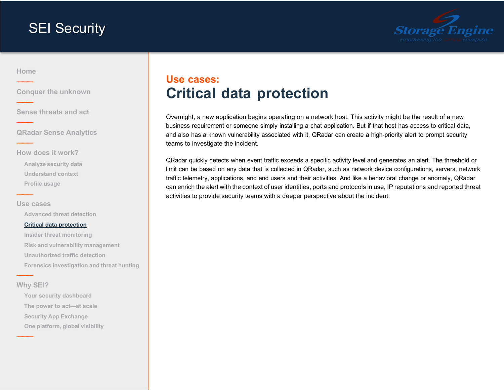

### <span id="page-10-0"></span>**[Home](#page-0-0) ———**

**———**

**———**

**———**

**———**

**[Conquer the unknown](#page-1-0)**

**Sense [threats](#page-2-0) and act**

**QRadar Sense [Analytics](#page-3-0)**

**How does it [work?](#page-4-0) Analyze [security](#page-5-0) data**

**[Understand](#page-6-0) context [Profile](#page-7-0) usage**

#### **Use [cases](#page-8-0)**

**[Advanced threat detection](#page-9-0)**

#### **Critical data protection**

**Insider threat [monitoring](#page-11-0) Risk and vulnerability [management](#page-12-0) [Unauthorized](#page-13-0) traffic detection Forensics [investigation](#page-14-0) and threat hunting**

### **Why [SEI?](#page-15-0)**

**———**

**———**

**[Your security dashboard](#page-16-0) The power to [act—at](#page-17-0) scale Security App [Exchange](#page-18-0) One [platform,](#page-19-0) global visibility**

### **Use cases: Critical data protection**

Overnight, a new application begins operating on a network host. This activity might be the result of a new business requirement or someone simply installing a chat application. But if that host has access to critical data, and also has a known vulnerability associated with it, QRadar can create a high-priority alert to prompt security teams to investigate the incident.

QRadar quickly detects when event traffic exceeds a specific activity level and generates an alert. The threshold or limit can be based on any data that is collected in QRadar, such as network device configurations, servers, network traffic telemetry, applications, and end users and their activities. And like a behavioral change or anomaly, QRadar can enrich the alert with the context of user identities, ports and protocols in use, IP reputations and reported threat activities to provide security teams with a deeper perspective about the incident.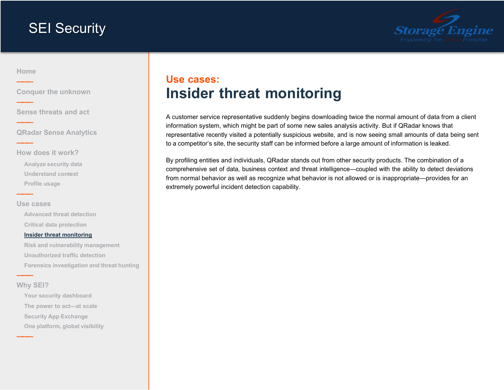

### <span id="page-11-0"></span>**[Home](#page-0-0) ———**

**———**

**———**

**———**

**———**

**[Conquer the unknown](#page-1-0)**

**Sense [threats](#page-2-0) and act**

**QRadar Sense [Analytics](#page-3-0)**

**How does it [work?](#page-4-0)**

**Analyze [security](#page-5-0) data [Understand](#page-6-0) context [Profile](#page-7-0) usage**

#### **Use [cases](#page-8-0)**

**[Advanced threat detection](#page-9-0) Critical data [protection](#page-10-0)**

#### **Insider threat monitoring**

**Risk and vulnerability [management](#page-12-0) [Unauthorized](#page-13-0) traffic detection Forensics [investigation](#page-14-0) and threat hunting**

### **Why [SEI?](#page-15-0)**

**———**

**———**

**[Your security dashboard](#page-16-0) The power to [act—at](#page-17-0) scale Security App [Exchange](#page-18-0) One [platform,](#page-19-0) global visibility**

### **Use cases: Insider threat monitoring**

A customer service representative suddenly begins downloading twice the normal amount of data from a client information system, which might be part of some new sales analysis activity. But if QRadar knows that representative recently visited a potentially suspicious website, and is now seeing small amounts of data being sent to a competitor's site, the security staff can be informed before a large amount of information is leaked.

By profiling entities and individuals, QRadar stands out from other security products. The combination of a comprehensive set of data, business context and threat intelligence—coupled with the ability to detect deviations from normal behavior as well as recognize what behavior is not allowed or is inappropriate—provides for an extremely powerful incident detection capability.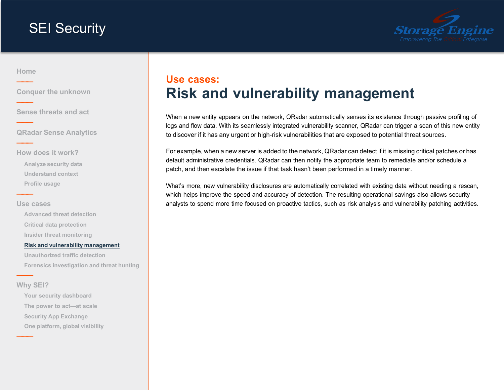

<span id="page-12-0"></span>**[Home](#page-0-0) ———**

**———**

**———**

**———**

**———**

**[Conquer the unknown](#page-1-0)**

**Sense [threats](#page-2-0) and act**

**QRadar Sense [Analytics](#page-3-0)**

**How does it [work?](#page-4-0) Analyze [security](#page-5-0) data [Understand](#page-6-0) context [Profile](#page-7-0) usage**

#### **Use [cases](#page-8-0)**

**[Advanced threat detection](#page-9-0) Critical data [protection](#page-10-0) Insider threat [monitoring](#page-11-0)**

#### **Risk and vulnerability management**

**[Unauthorized](#page-13-0) traffic detection Forensics [investigation](#page-14-0) and threat hunting**

### **Why [SEI?](#page-15-0)**

**———**

**———**

**[Your security dashboard](#page-16-0) The power to [act—at](#page-17-0) scale Security App [Exchange](#page-18-0) One [platform,](#page-19-0) global visibility**

### **Use cases: Risk and vulnerability management**

When a new entity appears on the network, QRadar automatically senses its existence through passive profiling of logs and flow data. With its seamlessly integrated vulnerability scanner, QRadar can trigger a scan of this new entity to discover if it has any urgent or high-risk vulnerabilities that are exposed to potential threat sources.

For example, when a new server is added to the network, QRadar can detect if it is missing critical patches or has default administrative credentials. QRadar can then notify the appropriate team to remediate and/or schedule a patch, and then escalate the issue if that task hasn't been performed in a timely manner.

What's more, new vulnerability disclosures are automatically correlated with existing data without needing a rescan, which helps improve the speed and accuracy of detection. The resulting operational savings also allows security analysts to spend more time focused on proactive tactics, such as risk analysis and vulnerability patching activities.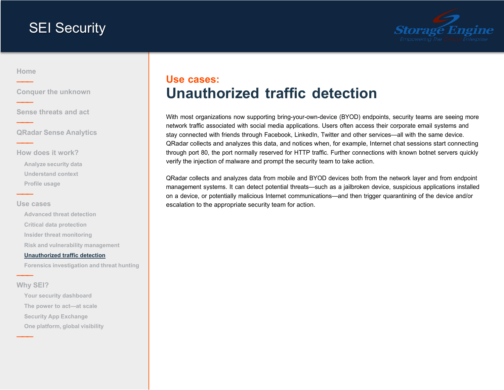

### <span id="page-13-0"></span>**[Home](#page-0-0) ———**

**———**

**———**

**———**

**———**

**[Conquer the unknown](#page-1-0)**

**Sense [threats](#page-2-0) and act**

**QRadar Sense [Analytics](#page-3-0)**

**How does it [work?](#page-4-0) Analyze [security](#page-5-0) data [Understand](#page-6-0) context [Profile](#page-7-0) usage**

#### **Use [cases](#page-8-0)**

**[Advanced threat detection](#page-9-0) Critical data [protection](#page-10-0) Insider threat [monitoring](#page-11-0) Risk and vulnerability [management](#page-12-0)**

#### **Unauthorized traffic detection**

**Forensics [investigation](#page-14-0) and threat hunting**

#### **Why [SEI?](#page-15-0)**

**———**

**———**

**[Your security dashboard](#page-16-0) The power to [act—at](#page-17-0) scale Security App [Exchange](#page-18-0) One [platform,](#page-19-0) global visibility**

### **Use cases: Unauthorized traffic detection**

With most organizations now supporting bring-your-own-device (BYOD) endpoints, security teams are seeing more network traffic associated with social media applications. Users often access their corporate email systems and stay connected with friends through Facebook, LinkedIn, Twitter and other services—all with the same device. QRadar collects and analyzes this data, and notices when, for example, Internet chat sessions start connecting through port 80, the port normally reserved for HTTP traffic. Further connections with known botnet servers quickly verify the injection of malware and prompt the security team to take action.

QRadar collects and analyzes data from mobile and BYOD devices both from the network layer and from endpoint management systems. It can detect potential threats—such as a jailbroken device, suspicious applications installed on a device, or potentially malicious Internet communications—and then trigger quarantining of the device and/or escalation to the appropriate security team for action.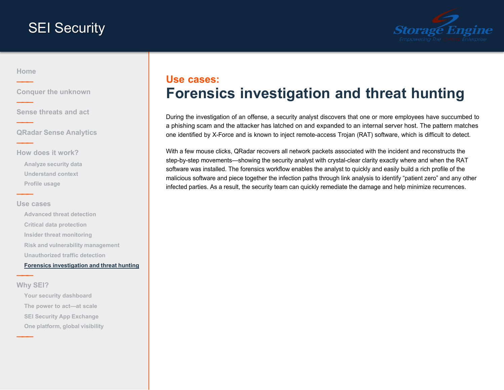

<span id="page-14-0"></span>**[Home](#page-0-0) ———**

**———**

**———**

**———**

**———**

**[Conquer the unknown](#page-1-0)**

**Sense [threats](#page-2-0) and act**

**QRadar Sense [Analytics](#page-3-0)**

**How does it [work?](#page-4-0) Analyze [security](#page-5-0) data [Understand](#page-6-0) context [Profile](#page-7-0) usage**

#### **Use [cases](#page-8-0)**

**[Advanced threat detection](#page-9-0) Critical data [protection](#page-10-0) Insider threat [monitoring](#page-11-0) Risk and vulnerability [management](#page-12-0) [Unauthorized](#page-13-0) traffic detection Forensics investigation and threat hunting**

### **Why [SEI?](#page-15-0)**

**———**

**———**

**[Your security dashboard](#page-16-0) The power to [act—at](#page-17-0) scale [SEI Security](#page-18-0) App Exchange One [platform,](#page-19-0) global visibility**

### **Use cases: Forensics investigation and threat hunting**

During the investigation of an offense, a security analyst discovers that one or more employees have succumbed to a phishing scam and the attacker has latched on and expanded to an internal server host. The pattern matches one identified by X-Force and is known to inject remote-access Trojan (RAT) software, which is difficult to detect.

With a few mouse clicks, QRadar recovers all network packets associated with the incident and reconstructs the step-by-step movements—showing the security analyst with crystal-clear clarity exactly where and when the RAT software was installed. The forensics workflow enables the analyst to quickly and easily build a rich profile of the malicious software and piece together the infection paths through link analysis to identify "patient zero" and any other infected parties. As a result, the security team can quickly remediate the damage and help minimize recurrences.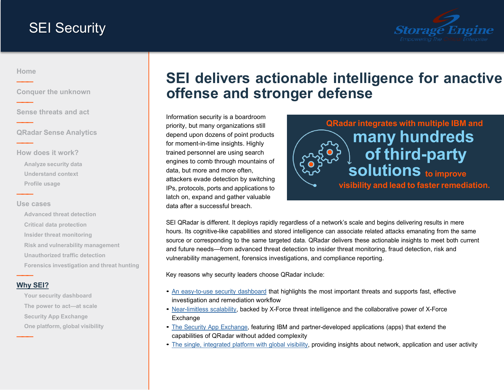

<span id="page-15-0"></span>**[Home](#page-0-0) ———**

**———**

**———**

**———**

**———**

**[Conquer the unknown](#page-1-0)**

**Sense [threats](#page-2-0) and act**

**QRadar Sense [Analytics](#page-3-0)**

**How does it [work?](#page-4-0) Analyze [security](#page-5-0) data [Understand](#page-6-0) context [Profile](#page-7-0) usage**

#### **Use [cases](#page-8-0)**

**[Advanced threat detection](#page-9-0) Critical data [protection](#page-10-0) Insider threat [monitoring](#page-11-0) Risk and vulnerability [management](#page-12-0) [Unauthorized](#page-13-0) traffic detection Forensics [investigation](#page-14-0) and threat hunting**

### **Why SEI?**

**———**

**———**

**[Your security dashboard](#page-16-0) The power to [act—at](#page-17-0) scale Security App [Exchange](#page-18-0) One [platform,](#page-19-0) global visibility**

# **SEI delivers actionable intelligence for anactive offense and stronger defense**

Information security is a boardroom priority, but many organizations still depend upon dozens of point products for moment-in-time insights. Highly trained personnel are using search engines to comb through mountains of data, but more and more often, attackers evade detection by switching IPs, protocols, ports and applications to latch on, expand and gather valuable data after a successful breach.



SEI QRadar is different. It deploys rapidly regardless of a network's scale and begins delivering results in mere hours. Its cognitive-like capabilities and stored intelligence can associate related attacks emanating from the same source or corresponding to the same targeted data. QRadar delivers these actionable insights to meet both current and future needs—from advanced threat detection to insider threat monitoring, fraud detection, risk and vulnerability management, forensics investigations, and compliance reporting.

Key reasons why security leaders choose QRadar include:

- An [easy-to-use](#page-16-0) security dashboard that highlights the most important threats and supports fast, effective investigation and remediation workflow
- [Near-limitless](#page-17-0) scalability, backed by X-Force threat intelligence and the collaborative power of X-Force **Exchange**
- The Security App [Exchange,](#page-18-0) featuring IBM and partner-developed applications (apps) that extend the capabilities of QRadar without added complexity
- The single, [integrated](#page-19-0) platform with global visibility, providing insights about network, application and user activity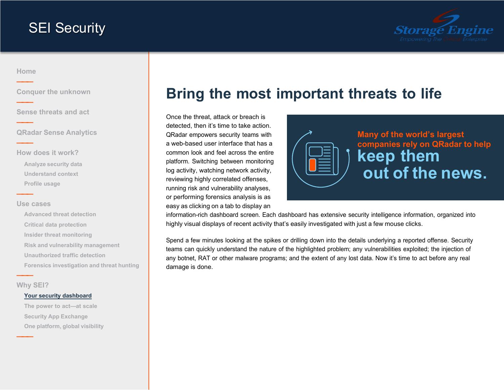

### <span id="page-16-0"></span>**[Home](#page-0-0) ———**

**———**

**———**

**———**

**———**

**[Conquer the unknown](#page-1-0)**

**Sense [threats](#page-2-0) and act**

**QRadar Sense [Analytics](#page-3-0)**

**How does it [work?](#page-4-0) Analyze [security](#page-5-0) data [Understand](#page-6-0) context [Profile](#page-7-0) usage**

#### **Use [cases](#page-8-0)**

**[Advanced threat detection](#page-9-0) Critical data [protection](#page-10-0) Insider threat [monitoring](#page-11-0) Risk and vulnerability [management](#page-12-0) [Unauthorized](#page-13-0) traffic detection Forensics [investigation](#page-14-0) and threat hunting**

**Why [SEI?](#page-15-0)**

**———**

**———**

#### **Your security dashboard**

**The power to [act—at](#page-17-0) scale Security App [Exchange](#page-18-0) One [platform,](#page-19-0) global visibility**

# **Bring the most important threats to life**

Once the threat, attack or breach is detected, then it's time to take action. QRadar empowers security teams with a web-based user interface that has a common look and feel across the entire platform. Switching between monitoring log activity, watching network activity, reviewing highly correlated offenses, running risk and vulnerability analyses, or performing forensics analysis is as easy as clicking on a tab to display an



**Many of the world's largest companies rely on QRadar to help keep them out of the news.**

information-rich dashboard screen. Each dashboard has extensive security intelligence information, organized into highly visual displays of recent activity that's easily investigated with just a few mouse clicks.

Spend a few minutes looking at the spikes or drilling down into the details underlying a reported offense. Security teams can quickly understand the nature of the highlighted problem; any vulnerabilities exploited; the injection of any botnet, RAT or other malware programs; and the extent of any lost data. Now it's time to act before any real damage is done.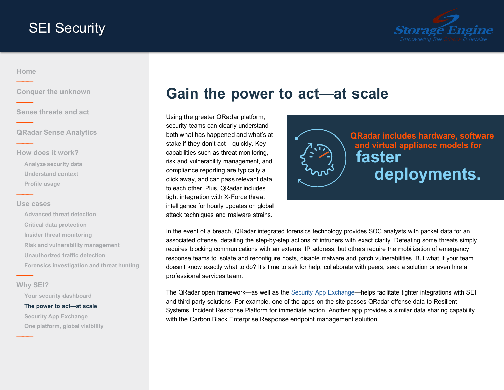

### <span id="page-17-0"></span>**[Home](#page-0-0) ———**

**———**

**———**

**———**

**———**

**———**

**———**

**[Conquer the unknown](#page-1-0)**

**Sense [threats](#page-2-0) and act**

**QRadar Sense [Analytics](#page-3-0)**

**How does it [work?](#page-4-0) Analyze [security](#page-5-0) data [Understand](#page-6-0) context [Profile](#page-7-0) usage**

#### **Use [cases](#page-8-0)**

**[Advanced threat detection](#page-9-0) Critical data [protection](#page-10-0) Insider threat [monitoring](#page-11-0) Risk and vulnerability [management](#page-12-0) [Unauthorized](#page-13-0) traffic detection Forensics [investigation](#page-14-0) and threat hunting**

**Why [SEI?](#page-15-0)**

**[Your security dashboard](#page-16-0)**

#### **The power to act—at scale**

**Security App [Exchange](#page-18-0) One [platform,](#page-19-0) global visibility**

# **Gain the power to act—at scale**

Using the greater QRadar platform, security teams can clearly understand both what has happened and what's at stake if they don't act—quickly. Key capabilities such as threat monitoring, risk and vulnerability management, and compliance reporting are typically a click away, and can pass relevant data to each other. Plus, QRadar includes tight integration with X-Force threat intelligence for hourly updates on global attack techniques and malware strains.



In the event of a breach, QRadar integrated forensics technology provides SOC analysts with packet data for an associated offense, detailing the step-by-step actions of intruders with exact clarity. Defeating some threats simply requires blocking communications with an external IP address, but others require the mobilization of emergency response teams to isolate and reconfigure hosts, disable malware and patch vulnerabilities. But what if your team doesn't know exactly what to do? It's time to ask for help, collaborate with peers, seek a solution or even hire a professional services team.

The QRadar open framework—as well as the Security App [Exchange—](https://exchange.xforce.ibmcloud.com/hub)helps facilitate tighter integrations with SEI and third-party solutions. For example, one of the apps on the site passes QRadar offense data to Resilient Systems' Incident Response Platform for immediate action. Another app provides a similar data sharing capability with the Carbon Black Enterprise Response endpoint management solution.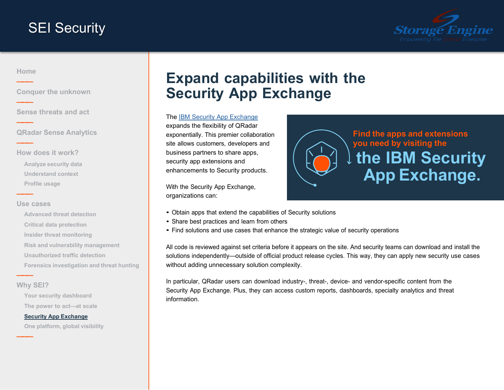

### <span id="page-18-0"></span>**[Home](#page-0-0) ———**

**———**

**———**

**———**

**———**

**[Conquer the unknown](#page-1-0)**

**Sense [threats](#page-2-0) and act**

**QRadar Sense [Analytics](#page-3-0)**

**How does it [work?](#page-4-0) Analyze [security](#page-5-0) data [Understand](#page-6-0) context [Profile](#page-7-0) usage**

#### **Use [cases](#page-8-0)**

**[Advanced threat detection](#page-9-0) Critical data [protection](#page-10-0) Insider threat [monitoring](#page-11-0) Risk and vulnerability [management](#page-12-0) [Unauthorized](#page-13-0) traffic detection Forensics [investigation](#page-14-0) and threat hunting**

**Why [SEI?](#page-15-0)**

**———**

**———**

**[Your security dashboard](#page-16-0) The power to [act—at](#page-17-0) scale**

#### **Security App Exchange**

**One [platform,](#page-19-0) global visibility**

# **Expand capabilities with the Security App Exchange**

The [IBM Security App Exchange](https://exchange.xforce.ibmcloud.com/hub) expands the flexibility of QRadar exponentially. This premier collaboration site allows customers, developers and business partners to share apps, security app extensions and enhancements to Security products.

With the Security App Exchange, organizations can:

- Obtain apps that extend the capabilities of Security solutions
- Share best practices and learn from others
- Find solutions and use cases that enhance the strategic value of security operations

All code is reviewed against set criteria before it appears on the site. And security teams can download and install the solutions independently—outside of official product release cycles. This way, they can apply new security use cases without adding unnecessary solution complexity.

In particular, QRadar users can download industry-, threat-, device- and vendor-specific content from the Security App Exchange. Plus, they can access custom reports, dashboards, specialty analytics and threat information.

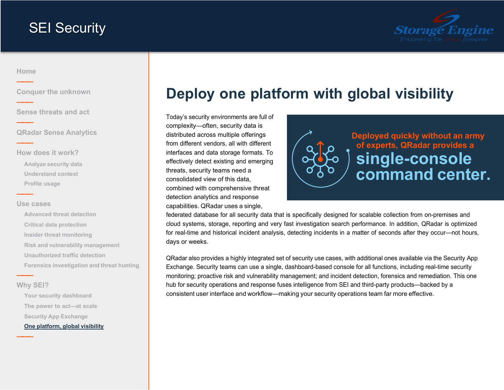

### <span id="page-19-0"></span>**[Home](#page-0-0) ———**

**———**

**———**

**———**

**———**

**[Conquer the unknown](#page-1-0)**

**Sense [threats](#page-2-0) and act**

**QRadar Sense [Analytics](#page-3-0)**

**How does it [work?](#page-4-0) Analyze [security](#page-5-0) data [Understand](#page-6-0) context [Profile](#page-7-0) usage**

#### **Use [cases](#page-8-0)**

**[Advanced threat detection](#page-9-0) Critical data [protection](#page-10-0) Insider threat [monitoring](#page-11-0) Risk and vulnerability [management](#page-12-0) [Unauthorized](#page-13-0) traffic detection Forensics [investigation](#page-14-0) and threat hunting**

### **Why [SEI?](#page-15-0)**

**———**

**———**

**[Your security dashboard](#page-16-0) The power to [act—at](#page-17-0) scale Security App [Exchange](#page-18-0) One platform, global visibility**

# **Deploy one platform with global visibility**

Today's security environments are full of complexity—often, security data is distributed across multiple offerings from different vendors, all with different interfaces and data storage formats. To effectively detect existing and emerging threats, security teams need a consolidated view of this data, combined with comprehensive threat detection analytics and response capabilities. QRadar uses a single,



federated database for all security data that is specifically designed for scalable collection from on-premises and cloud systems, storage, reporting and very fast investigation search performance. In addition, QRadar is optimized for real-time and historical incident analysis, detecting incidents in a matter of seconds after they occur—not hours, days or weeks.

QRadar also provides a highly integrated set of security use cases, with additional ones available via the Security App Exchange. Security teams can use a single, dashboard-based console for all functions, including real-time security monitoring; proactive risk and vulnerability management; and incident detection, forensics and remediation. This one hub for security operations and response fuses intelligence from SEI and third-party products—backed by a consistent user interface and workflow—making your security operations team far more effective.